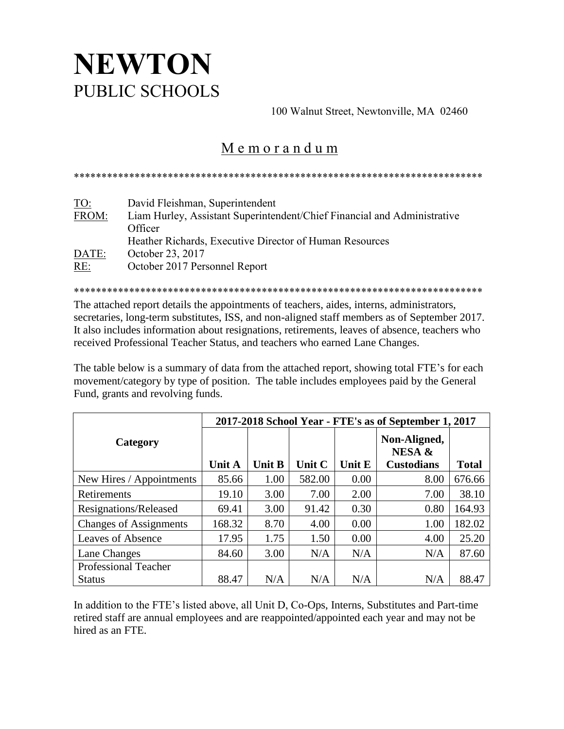## **NEWTON** PUBLIC SCHOOLS

100 Walnut Street, Newtonville, MA 02460

## M e m o r a n d u m

\*\*\*\*\*\*\*\*\*\*\*\*\*\*\*\*\*\*\*\*\*\*\*\*\*\*\*\*\*\*\*\*\*\*\*\*\*\*\*\*\*\*\*\*\*\*\*\*\*\*\*\*\*\*\*\*\*\*\*\*\*\*\*\*\*\*\*\*\*\*\*\*\*\*

| TO:   | David Fleishman, Superintendent                                          |
|-------|--------------------------------------------------------------------------|
| FROM: | Liam Hurley, Assistant Superintendent/Chief Financial and Administrative |
|       | Officer                                                                  |
|       | Heather Richards, Executive Director of Human Resources                  |
| DATE: | October 23, 2017                                                         |
| RE:   | October 2017 Personnel Report                                            |
|       |                                                                          |

\*\*\*\*\*\*\*\*\*\*\*\*\*\*\*\*\*\*\*\*\*\*\*\*\*\*\*\*\*\*\*\*\*\*\*\*\*\*\*\*\*\*\*\*\*\*\*\*\*\*\*\*\*\*\*\*\*\*\*\*\*\*\*\*\*\*\*\*\*\*\*\*\*\*

The attached report details the appointments of teachers, aides, interns, administrators, secretaries, long-term substitutes, ISS, and non-aligned staff members as of September 2017. It also includes information about resignations, retirements, leaves of absence, teachers who received Professional Teacher Status, and teachers who earned Lane Changes.

The table below is a summary of data from the attached report, showing total FTE's for each movement/category by type of position. The table includes employees paid by the General Fund, grants and revolving funds.

|                               | 2017-2018 School Year - FTE's as of September 1, 2017 |               |        |        |                        |              |  |  |
|-------------------------------|-------------------------------------------------------|---------------|--------|--------|------------------------|--------------|--|--|
| Category                      |                                                       |               |        |        | Non-Aligned,<br>NESA & |              |  |  |
|                               | <b>Unit A</b>                                         | <b>Unit B</b> | Unit C | Unit E | <b>Custodians</b>      | <b>Total</b> |  |  |
| New Hires / Appointments      | 85.66                                                 | 1.00          | 582.00 | 0.00   | 8.00                   | 676.66       |  |  |
| Retirements                   | 19.10                                                 | 3.00          | 7.00   | 2.00   | 7.00                   | 38.10        |  |  |
| Resignations/Released         | 69.41                                                 | 3.00          | 91.42  | 0.30   | 0.80                   | 164.93       |  |  |
| <b>Changes of Assignments</b> | 168.32                                                | 8.70          | 4.00   | 0.00   | 1.00                   | 182.02       |  |  |
| <b>Leaves of Absence</b>      | 17.95                                                 | 1.75          | 1.50   | 0.00   | 4.00                   | 25.20        |  |  |
| Lane Changes                  | 84.60                                                 | 3.00          | N/A    | N/A    | N/A                    | 87.60        |  |  |
| <b>Professional Teacher</b>   |                                                       |               |        |        |                        |              |  |  |
| <b>Status</b>                 | 88.47                                                 | N/A           | N/A    | N/A    | N/A                    | 88.47        |  |  |

In addition to the FTE's listed above, all Unit D, Co-Ops, Interns, Substitutes and Part-time retired staff are annual employees and are reappointed/appointed each year and may not be hired as an FTE.